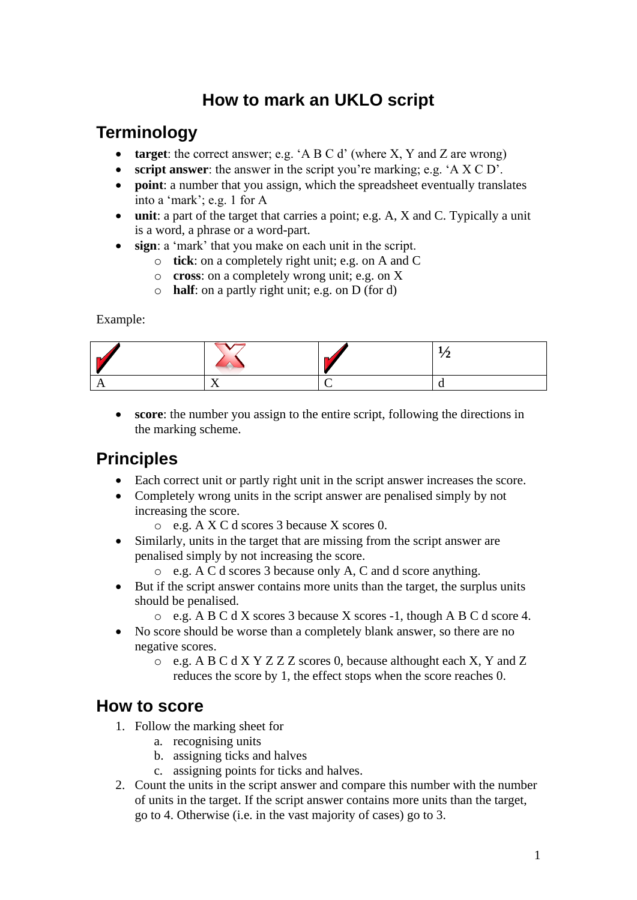# **How to mark an UKLO script**

## **Terminology**

- **target**: the correct answer; e.g. 'A B C d' (where X, Y and Z are wrong)
- **script answer**: the answer in the script you're marking; e.g. 'A X C D'.
- **point**: a number that you assign, which the spreadsheet eventually translates into a 'mark'; e.g. 1 for A
- **unit**: a part of the target that carries a point; e.g. A, X and C. Typically a unit is a word, a phrase or a word-part.
- sign: a 'mark' that you make on each unit in the script.
	- o **tick**: on a completely right unit; e.g. on A and C
	- o **cross**: on a completely wrong unit; e.g. on X
	- o **half**: on a partly right unit; e.g. on D (for d)

Example:

• **score**: the number you assign to the entire script, following the directions in the marking scheme.

# **Principles**

- Each correct unit or partly right unit in the script answer increases the score.
- Completely wrong units in the script answer are penalised simply by not increasing the score.
	- o e.g. A X C d scores 3 because X scores 0.
- Similarly, units in the target that are missing from the script answer are penalised simply by not increasing the score.
	- o e.g. A C d scores 3 because only A, C and d score anything.
- But if the script answer contains more units than the target, the surplus units should be penalised.
	- o e.g. A B C d X scores 3 because X scores -1, though A B C d score 4.
- No score should be worse than a completely blank answer, so there are no negative scores.
	- o e.g. A B C d X Y Z Z Z scores 0, because althought each X, Y and Z reduces the score by 1, the effect stops when the score reaches 0.

## **How to score**

- 1. Follow the marking sheet for
	- a. recognising units
	- b. assigning ticks and halves
	- c. assigning points for ticks and halves.
- 2. Count the units in the script answer and compare this number with the number of units in the target. If the script answer contains more units than the target, go to 4. Otherwise (i.e. in the vast majority of cases) go to 3.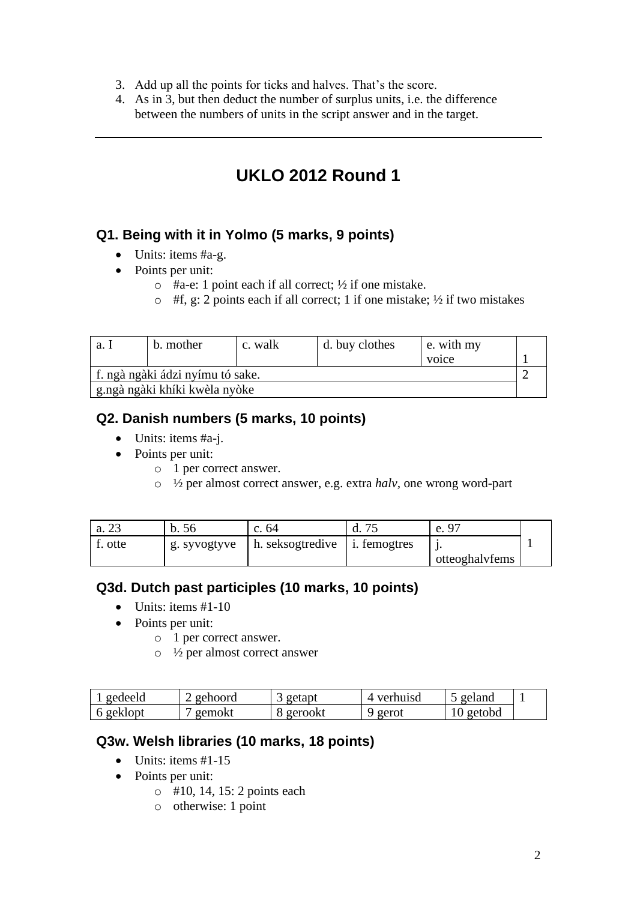- 3. Add up all the points for ticks and halves. That's the score.
- 4. As in 3, but then deduct the number of surplus units, i.e. the difference between the numbers of units in the script answer and in the target.

## **UKLO 2012 Round 1**

#### **Q1. Being with it in Yolmo (5 marks, 9 points)**

- Units: items #a-g.
- Points per unit:
	- $\circ$  #a-e: 1 point each if all correct;  $\frac{1}{2}$  if one mistake.
	- $\circ$  #f, g: 2 points each if all correct; 1 if one mistake;  $\frac{1}{2}$  if two mistakes

| a. .                             | b. mother                       | c. walk | d. buy clothes | e. with my |  |
|----------------------------------|---------------------------------|---------|----------------|------------|--|
|                                  |                                 |         |                | voice      |  |
| f. ngà ngàki ádzi nyímu tó sake. |                                 |         |                |            |  |
|                                  | ' g.ngà ngàki khíki kwèla nyòke |         |                |            |  |

#### **Q2. Danish numbers (5 marks, 10 points)**

- Units: items #a-j.
- Points per unit:
	- o 1 per correct answer.
	- o ½ per almost correct answer, e.g. extra *halv,* one wrong word-part

| a. 23   | b. 56        | c. 64                                         | u. | e. 9           |  |
|---------|--------------|-----------------------------------------------|----|----------------|--|
| f. otte | g. syvogtyve | $\vert$ h. seksogtredive $\vert$ i. femogtres |    | otteoghalyfems |  |

#### **Q3d. Dutch past participles (10 marks, 10 points)**

- $\bullet$  Units: items #1-10
- Points per unit:
	- o 1 per correct answer.
	- o ½ per almost correct answer

| gedeeld   | gehoord | getapt  | verhuisd | geland    |  |
|-----------|---------|---------|----------|-----------|--|
| 6 geklopt | gemokt  | gerookt | ' gerot  | l0 getobd |  |

#### **Q3w. Welsh libraries (10 marks, 18 points)**

- Units: items  $#1-15$
- Points per unit:
	- o #10, 14, 15: 2 points each
	- o otherwise: 1 point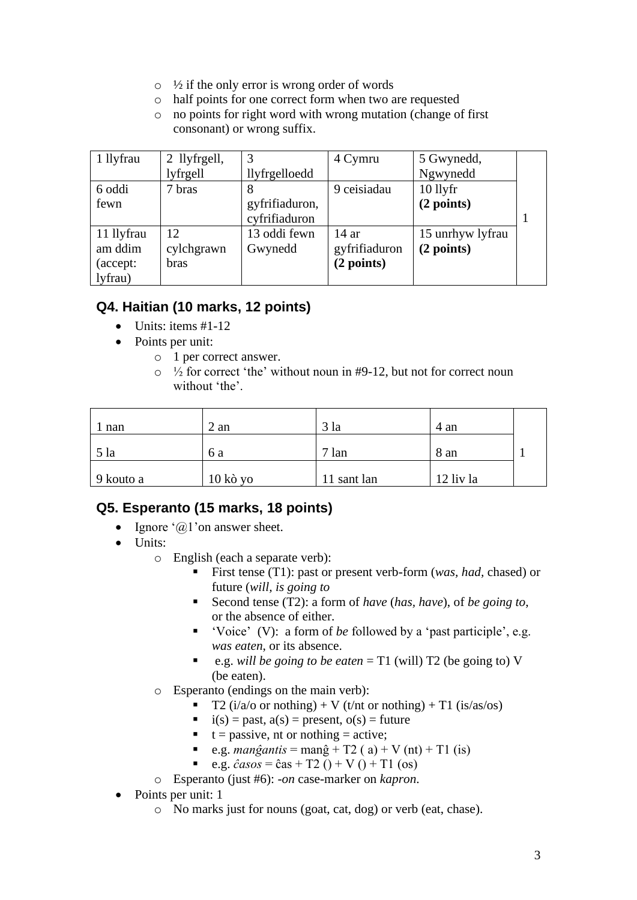- $\circ$  ½ if the only error is wrong order of words
- o half points for one correct form when two are requested
- o no points for right word with wrong mutation (change of first consonant) or wrong suffix.

| 1 llyfrau  | 2 llyfrgell, | 3              | 4 Cymru       | 5 Gwynedd,       |  |
|------------|--------------|----------------|---------------|------------------|--|
|            | lyfrgell     | llyfrgelloedd  |               | Ngwynedd         |  |
| 6 oddi     | 7 bras       | 8              | 9 ceisiadau   | $10$ llyfr       |  |
| fewn       |              | gyfrifiaduron, |               | (2 points)       |  |
|            |              | cyfrifiaduron  |               |                  |  |
| 11 llyfrau | 12           | 13 oddi fewn   | 14ar          | 15 unrhyw lyfrau |  |
| am ddim    | cylchgrawn   | Gwynedd        | gyfrifiaduron | (2 points)       |  |
| (accept:   | <b>bras</b>  |                | (2 points)    |                  |  |
| lyfrau)    |              |                |               |                  |  |

## **Q4. Haitian (10 marks, 12 points)**

- $\bullet$  Units: items #1-12
- Points per unit:
	- o 1 per correct answer.
	- $\circ$  1/2 for correct 'the' without noun in #9-12, but not for correct noun without 'the'.

| 1 nan     | $2$ an          | 3 <sup>1a</sup> | 4 an      |  |
|-----------|-----------------|-----------------|-----------|--|
| $5$ la    | 6 a             | $7 \text{ lan}$ | 8 an      |  |
| 9 kouto a | $10 k\delta$ yo | 11 sant lan     | 12 liv la |  |

### **Q5. Esperanto (15 marks, 18 points)**

- Ignore  $(a)$  'on answer sheet.
- Units:
	- o English (each a separate verb):
		- First tense (T1): past or present verb-form (*was, had, chased*) or future (*will, is going to*
		- Second tense (T2): a form of *have* (*has, have*), of *be going to*, or the absence of either.
		- 'Voice' (V): a form of *be* followed by a 'past participle', e.g. *was eaten*, or its absence.
		- e.g. *will be going to be eaten* = T1 (will) T2 (be going to) V (be eaten).
	- o Esperanto (endings on the main verb):
		- T2 ( $i/a$ /o or nothing) + V ( $t$ /nt or nothing) + T1 ( $i s/a s$ /os)
			- $\bullet$  i(s) = past, a(s) = present, o(s) = future
			- $\bullet$  t = passive, nt or nothing = active;
			- **•** e.g. *manĝantis* = manĝ + T2 ( a) + V (nt) + T1 (is)
			- e.g.  $\hat{c}$ *asos* =  $\hat{c}$ as + T2 () + V () + T1 (os)
	- o Esperanto (just #6): -*on* case-marker on *kapron*.
- Points per unit: 1
	- o No marks just for nouns (goat, cat, dog) or verb (eat, chase).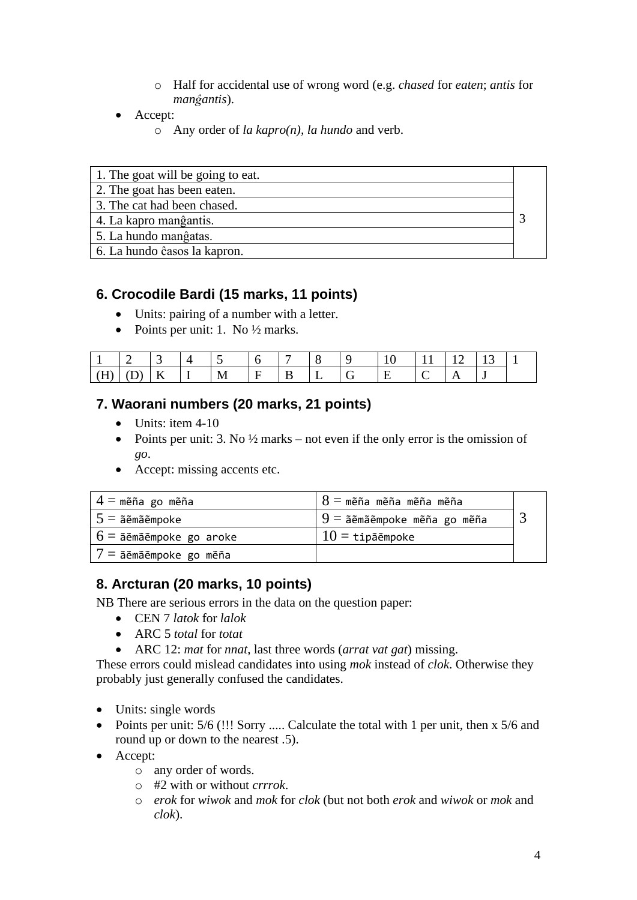- o Half for accidental use of wrong word (e.g. *chased* for *eaten*; *antis* for *manĝantis*).
- Accept:
	- o Any order of *la kapro(n), la hundo* and verb.

| 1. The goat will be going to eat. |  |
|-----------------------------------|--|
| 2. The goat has been eaten.       |  |
| 3. The cat had been chased.       |  |
| 4. La kapro manĝantis.            |  |
| 5. La hundo manĝatas.             |  |
| 6. La hundo ĉasos la kapron.      |  |

#### **6. Crocodile Bardi (15 marks, 11 points)**

- Units: pairing of a number with a letter.
- Points per unit: 1. No  $\frac{1}{2}$  marks.

|            |  |   |   | - |  |  |  |  |
|------------|--|---|---|---|--|--|--|--|
| <b>ALL</b> |  | - | M |   |  |  |  |  |

### **7. Waorani numbers (20 marks, 21 points)**

- Units: item 4-10
- Points per unit: 3. No  $\frac{1}{2}$  marks not even if the only error is the omission of *go*.
- Accept: missing accents etc.

| $\vert 4=$ mẽña go mẽña    | $8 =$ mẽña mẽña mẽña mẽña      |  |
|----------------------------|--------------------------------|--|
| $ 5=\tilde{a}$ ẽmãẽmpoke   | $9 = 5$ ẽmãẽmpoke mẽña go mẽña |  |
| $6 = 5$ emãempoke go aroke | $10 = \texttt{tipäëmpoke}$     |  |
| $ 7 =$ ãẽmãẽmpoke go mẽña  |                                |  |

### **8. Arcturan (20 marks, 10 points)**

NB There are serious errors in the data on the question paper:

- CEN 7 *latok* for *lalok*
- ARC 5 *total* for *totat*
- ARC 12: *mat* for *nnat*, last three words (*arrat vat gat*) missing.

These errors could mislead candidates into using *mok* instead of *clok*. Otherwise they probably just generally confused the candidates.

- Units: single words
- Points per unit: 5/6 (!!! Sorry ..... Calculate the total with 1 per unit, then x 5/6 and round up or down to the nearest .5).
- Accept:
	- o any order of words.
	- o #2 with or without *crrrok*.
	- o *erok* for *wiwok* and *mok* for *clok* (but not both *erok* and *wiwok* or *mok* and *clok*).